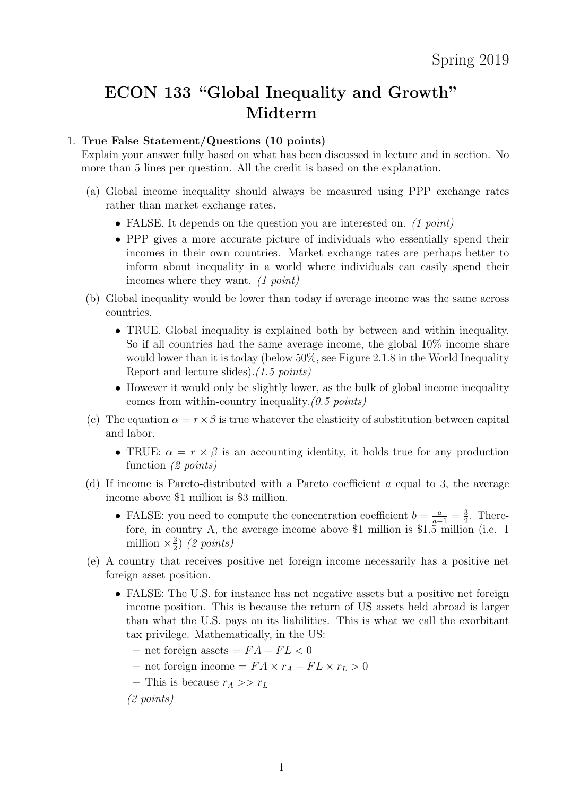## ECON 133 "Global Inequality and Growth" Midterm

## 1. True False Statement/Questions (10 points)

Explain your answer fully based on what has been discussed in lecture and in section. No more than 5 lines per question. All the credit is based on the explanation.

- (a) Global income inequality should always be measured using PPP exchange rates rather than market exchange rates.
	- FALSE. It depends on the question you are interested on. (1 point)
	- PPP gives a more accurate picture of individuals who essentially spend their incomes in their own countries. Market exchange rates are perhaps better to inform about inequality in a world where individuals can easily spend their incomes where they want. (1 point)
- (b) Global inequality would be lower than today if average income was the same across countries.
	- TRUE. Global inequality is explained both by between and within inequality. So if all countries had the same average income, the global 10% income share would lower than it is today (below 50%, see Figure 2.1.8 in the World Inequality Report and lecture slides).(1.5 points)
	- However it would only be slightly lower, as the bulk of global income inequality comes from within-country inequality.  $(0.5 \text{ points})$
- (c) The equation  $\alpha = r \times \beta$  is true whatever the elasticity of substitution between capital and labor.
	- TRUE:  $\alpha = r \times \beta$  is an accounting identity, it holds true for any production function (2 points)
- (d) If income is Pareto-distributed with a Pareto coefficient a equal to 3, the average income above \$1 million is \$3 million.
	- FALSE: you need to compute the concentration coefficient  $b = \frac{a}{a-1} = \frac{3}{2}$  $\frac{3}{2}$ . Therefore, in country A, the average income above \$1 million is \$1.5 million (i.e. 1 million  $\times \frac{3}{2}$  $rac{3}{2}$  (2 points)
- (e) A country that receives positive net foreign income necessarily has a positive net foreign asset position.
	- FALSE: The U.S. for instance has net negative assets but a positive net foreign income position. This is because the return of US assets held abroad is larger than what the U.S. pays on its liabilities. This is what we call the exorbitant tax privilege. Mathematically, in the US:
		- net foreign assets =  $FA FL < 0$
		- net foreign income =  $FA \times r_A FL \times r_L > 0$
		- This is because  $r_A >> r_L$

(2 points)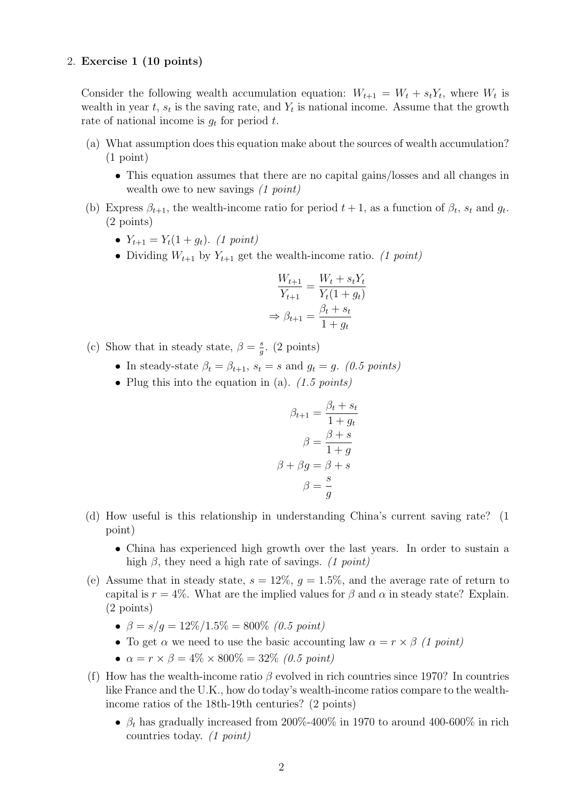## 2. Exercise 1 (10 points)

Consider the following wealth accumulation equation:  $W_{t+1} = W_t + s_t Y_t$ , where  $W_t$  is wealth in year t,  $s_t$  is the saving rate, and  $Y_t$  is national income. Assume that the growth rate of national income is  $g_t$  for period t.

- (a) What assumption does this equation make about the sources of wealth accumulation? (1 point)
	- This equation assumes that there are no capital gains/losses and all changes in wealth owe to new savings (1 point)
- (b) Express  $\beta_{t+1}$ , the wealth-income ratio for period  $t+1$ , as a function of  $\beta_t$ ,  $s_t$  and  $g_t$ . (2 points)
	- $Y_{t+1} = Y_t(1 + g_t)$ . (1 point)
	- Dividing  $W_{t+1}$  by  $Y_{t+1}$  get the wealth-income ratio. (1 point)

$$
\frac{W_{t+1}}{Y_{t+1}} = \frac{W_t + s_t Y_t}{Y_t (1 + g_t)}
$$

$$
\Rightarrow \beta_{t+1} = \frac{\beta_t + s_t}{1 + g_t}
$$

- (c) Show that in steady state,  $\beta = \frac{s}{a}$  $\frac{s}{g}$ . (2 points)
	- In steady-state  $\beta_t = \beta_{t+1}, s_t = s$  and  $g_t = g$ . (0.5 points)
	- Plug this into the equation in (a).  $(1.5 \text{ points})$

$$
\beta_{t+1} = \frac{\beta_t + s_t}{1 + g_t}
$$

$$
\beta = \frac{\beta + s}{1 + g}
$$

$$
\beta + \beta g = \beta + s
$$

$$
\beta = \frac{s}{g}
$$

- (d) How useful is this relationship in understanding China's current saving rate? (1 point)
	- China has experienced high growth over the last years. In order to sustain a high  $\beta$ , they need a high rate of savings. (1 point)
- (e) Assume that in steady state,  $s = 12\%$ ,  $g = 1.5\%$ , and the average rate of return to capital is  $r = 4\%$ . What are the implied values for  $\beta$  and  $\alpha$  in steady state? Explain. (2 points)
	- $\beta = s/q = 12\%/1.5\% = 800\%$  (0.5 point)
	- To get  $\alpha$  we need to use the basic accounting law  $\alpha = r \times \beta$  (1 point)
	- $\alpha = r \times \beta = 4\% \times 800\% = 32\%$  (0.5 point)
- (f) How has the wealth-income ratio  $\beta$  evolved in rich countries since 1970? In countries like France and the U.K., how do today's wealth-income ratios compare to the wealthincome ratios of the 18th-19th centuries? (2 points)
	- $\beta_t$  has gradually increased from 200%-400% in 1970 to around 400-600% in rich countries today. (1 point)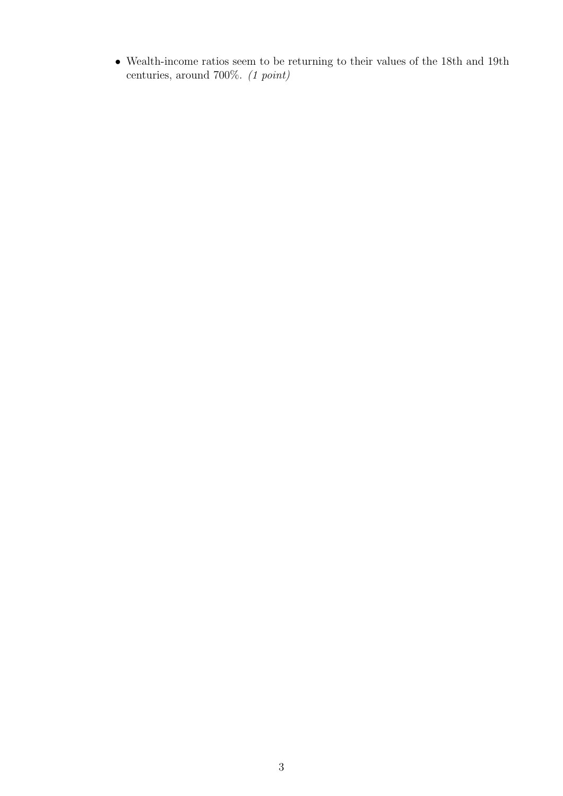$\bullet\,$  Wealth-income ratios seem to be returning to their values of the 18th and 19th centuries, around 700%. (1 point)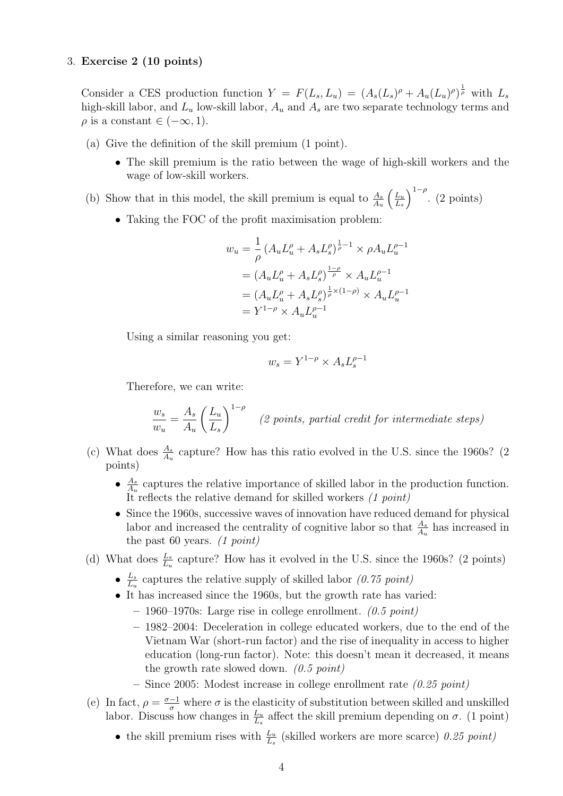## 3. Exercise 2 (10 points)

Consider a CES production function  $Y = F(L_s, L_u) = (A_s(L_s)^{\rho} + A_u(L_u)^{\rho})^{\frac{1}{\rho}}$  with  $L_s$ high-skill labor, and  $L_u$  low-skill labor,  $A_u$  and  $A_s$  are two separate technology terms and  $\rho$  is a constant  $\in (-\infty, 1)$ .

- (a) Give the definition of the skill premium (1 point).
	- The skill premium is the ratio between the wage of high-skill workers and the wage of low-skill workers.
- (b) Show that in this model, the skill premium is equal to  $\frac{A_s}{A_u}$  $\int_{-\infty}^{\infty}$  $L_s$  $\int_{1-\rho}^{1-\rho}$ . (2 points)
	- Taking the FOC of the profit maximisation problem:

$$
w_u = \frac{1}{\rho} \left( A_u L_u^{\rho} + A_s L_s^{\rho} \right)^{\frac{1}{\rho}-1} \times \rho A_u L_u^{\rho-1}
$$
  
= 
$$
\left( A_u L_u^{\rho} + A_s L_s^{\rho} \right)^{\frac{1-\rho}{\rho}} \times A_u L_u^{\rho-1}
$$
  
= 
$$
\left( A_u L_u^{\rho} + A_s L_s^{\rho} \right)^{\frac{1}{\rho} \times (1-\rho)} \times A_u L_u^{\rho-1}
$$
  
= 
$$
Y^{1-\rho} \times A_u L_u^{\rho-1}
$$

Using a similar reasoning you get:

$$
w_s = Y^{1-\rho} \times A_s L_s^{\rho-1}
$$

Therefore, we can write:

$$
\frac{w_s}{w_u} = \frac{A_s}{A_u} \left(\frac{L_u}{L_s}\right)^{1-\rho}
$$
 (2 points, partial credit for intermediate steps)

- (c) What does  $\frac{A_s}{A_u}$  capture? How has this ratio evolved in the U.S. since the 1960s? (2) points)
	- $\bullet$   $\frac{A_s}{4}$  $\frac{A_s}{A_u}$  captures the relative importance of skilled labor in the production function. It reflects the relative demand for skilled workers (1 point)
	- Since the 1960s, successive waves of innovation have reduced demand for physical labor and increased the centrality of cognitive labor so that  $\frac{A_s}{A_u}$  has increased in the past 60 years.  $(1 point)$
- (d) What does  $\frac{L_s}{L_u}$  capture? How has it evolved in the U.S. since the 1960s? (2 points)
	- $\bullet$   $\frac{L_s}{L_s}$  $\frac{L_s}{L_u}$  captures the relative supply of skilled labor (0.75 point)
	- It has increased since the 1960s, but the growth rate has varied:
		- $-1960-1970$ s: Large rise in college enrollment. (0.5 point)
		- 1982–2004: Deceleration in college educated workers, due to the end of the Vietnam War (short-run factor) and the rise of inequality in access to higher education (long-run factor). Note: this doesn't mean it decreased, it means the growth rate slowed down.  $(0.5 \text{ point})$
		- Since 2005: Modest increase in college enrollment rate  $(0.25 \text{ point})$
- (e) In fact,  $\rho = \frac{\sigma 1}{\sigma}$  where  $\sigma$  is the elasticity of substitution between skilled and unskilled labor. Discuss how changes in  $\frac{L_u}{L_s}$  affect the skill premium depending on  $\sigma$ . (1 point)
	- the skill premium rises with  $\frac{L_u}{L_s}$  (skilled workers are more scarce) 0.25 point)